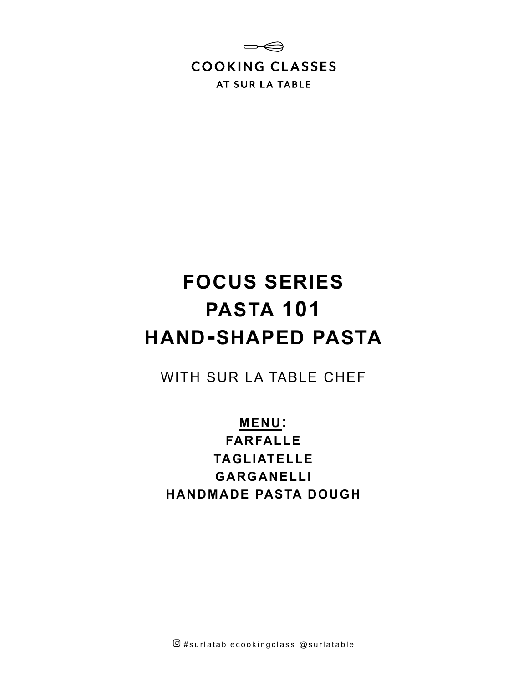

# **FOCUS SERIES PASTA 101 HAND-SHAPED PASTA**

WITH SUR LA TABLE CHEF

**MENU: FARFALLE TAGLIATELLE GARGANELLI HANDMADE PASTA DOUGH**

 $@$ #surlatablecookingclass  $@$ surlatable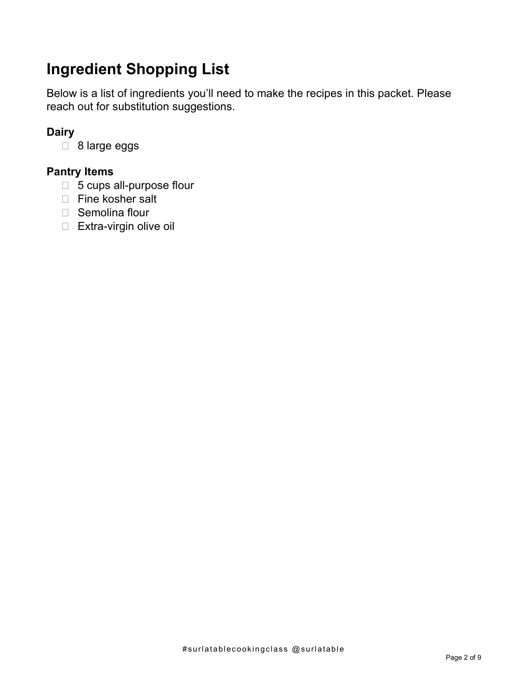# **Ingredient Shopping List**

Below is a list of ingredients you'll need to make the recipes in this packet. Please reach out for substitution suggestions.

# **Dairy**

□ 8 large eggs

## **Pantry Items**

- □ 5 cups all-purpose flour
- □ Fine kosher salt
- □ Semolina flour
- □ Extra-virgin olive oil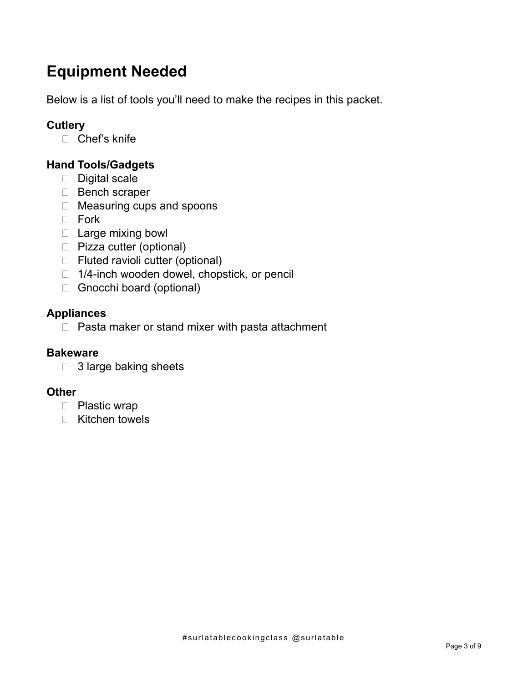# **Equipment Needed**

Below is a list of tools you'll need to make the recipes in this packet.

# **Cutlery**

□ Chef's knife

# **Hand Tools/Gadgets**

- $\Box$  Digital scale
- Bench scraper
- □ Measuring cups and spoons
- D Fork
- $\Box$  Large mixing bowl
- □ Pizza cutter (optional)
- □ Fluted ravioli cutter (optional)
- □ 1/4-inch wooden dowel, chopstick, or pencil
- Gnocchi board (optional)

### **Appliances**

 $\Box$  Pasta maker or stand mixer with pasta attachment

## **Bakeware**

3 large baking sheets

#### **Other**

- □ Plastic wrap
- Kitchen towels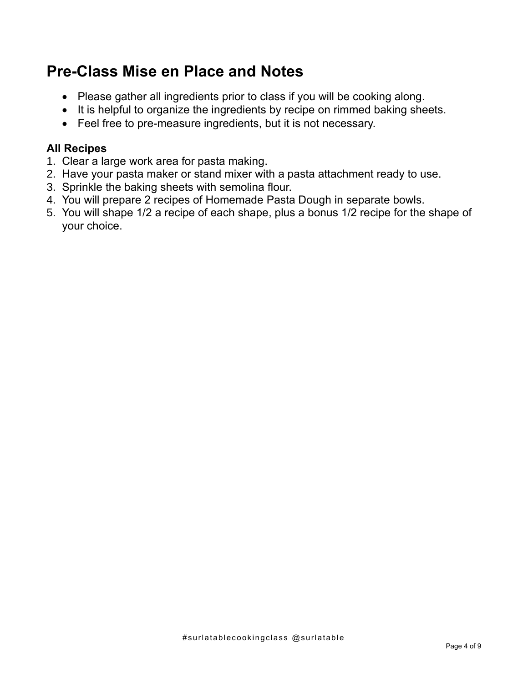# **Pre-Class Mise en Place and Notes**

- Please gather all ingredients prior to class if you will be cooking along.
- It is helpful to organize the ingredients by recipe on rimmed baking sheets.
- Feel free to pre-measure ingredients, but it is not necessary.

# **All Recipes**

- 1. Clear a large work area for pasta making.
- 2. Have your pasta maker or stand mixer with a pasta attachment ready to use.
- 3. Sprinkle the baking sheets with semolina flour.
- 4. You will prepare 2 recipes of Homemade Pasta Dough in separate bowls.
- 5. You will shape 1/2 a recipe of each shape, plus a bonus 1/2 recipe for the shape of your choice.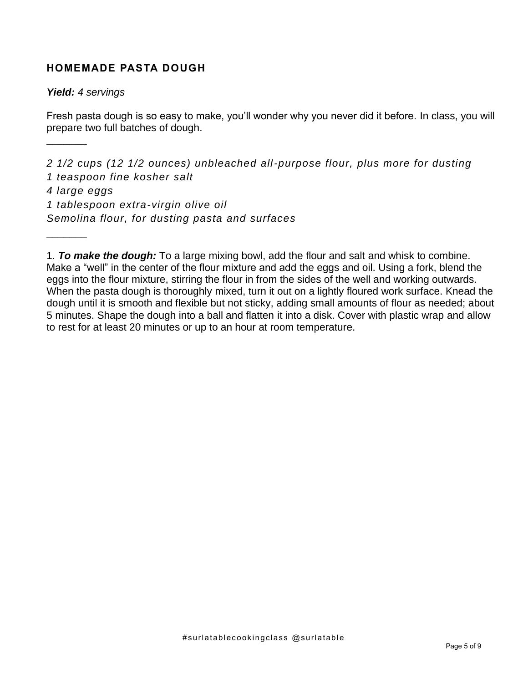#### **HOMEMADE PASTA DOUGH**

#### *Yield: 4 servings*

 $\frac{1}{2}$ 

 $\frac{1}{2}$ 

Fresh pasta dough is so easy to make, you'll wonder why you never did it before. In class, you will prepare two full batches of dough.

*2 1/2 cups (12 1/2 ounces) unbleached all-purpose flour, plus more for dusting 1 teaspoon fine kosher salt 4 large eggs 1 tablespoon extra-virgin olive oil Semolina flour, for dusting pasta and surfaces* 

<sup>1.</sup> *To make the dough:* To a large mixing bowl, add the flour and salt and whisk to combine. Make a "well" in the center of the flour mixture and add the eggs and oil. Using a fork, blend the eggs into the flour mixture, stirring the flour in from the sides of the well and working outwards. When the pasta dough is thoroughly mixed, turn it out on a lightly floured work surface. Knead the dough until it is smooth and flexible but not sticky, adding small amounts of flour as needed; about 5 minutes. Shape the dough into a ball and flatten it into a disk. Cover with plastic wrap and allow to rest for at least 20 minutes or up to an hour at room temperature.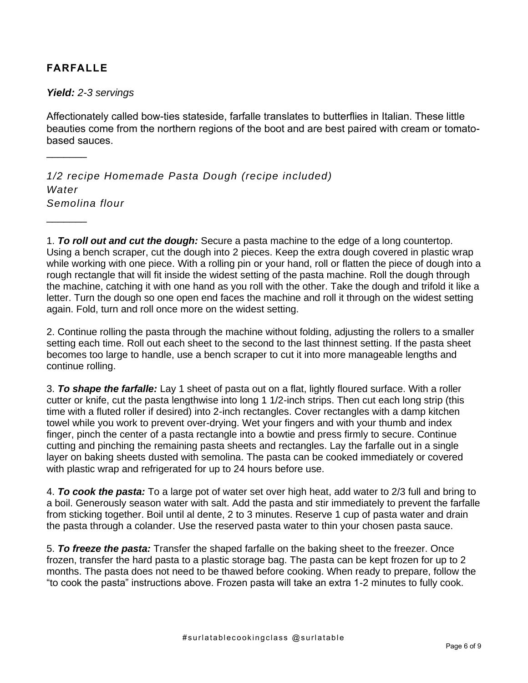### **FARFALLE**

 $\frac{1}{2}$ 

 $\frac{1}{2}$ 

#### *Yield: 2-3 servings*

Affectionately called bow-ties stateside, farfalle translates to butterflies in Italian. These little beauties come from the northern regions of the boot and are best paired with cream or tomatobased sauces.

*1/2 recipe Homemade Pasta Dough (recipe included) Water Semolina flour* 

1. *To roll out and cut the dough:* Secure a pasta machine to the edge of a long countertop. Using a bench scraper, cut the dough into 2 pieces. Keep the extra dough covered in plastic wrap while working with one piece. With a rolling pin or your hand, roll or flatten the piece of dough into a rough rectangle that will fit inside the widest setting of the pasta machine. Roll the dough through the machine, catching it with one hand as you roll with the other. Take the dough and trifold it like a letter. Turn the dough so one open end faces the machine and roll it through on the widest setting again. Fold, turn and roll once more on the widest setting.

2. Continue rolling the pasta through the machine without folding, adjusting the rollers to a smaller setting each time. Roll out each sheet to the second to the last thinnest setting. If the pasta sheet becomes too large to handle, use a bench scraper to cut it into more manageable lengths and continue rolling.

3. *To shape the farfalle:* Lay 1 sheet of pasta out on a flat, lightly floured surface. With a roller cutter or knife, cut the pasta lengthwise into long 1 1/2-inch strips. Then cut each long strip (this time with a fluted roller if desired) into 2-inch rectangles. Cover rectangles with a damp kitchen towel while you work to prevent over-drying. Wet your fingers and with your thumb and index finger, pinch the center of a pasta rectangle into a bowtie and press firmly to secure. Continue cutting and pinching the remaining pasta sheets and rectangles. Lay the farfalle out in a single layer on baking sheets dusted with semolina. The pasta can be cooked immediately or covered with plastic wrap and refrigerated for up to 24 hours before use.

4. *To cook the pasta:* To a large pot of water set over high heat, add water to 2/3 full and bring to a boil. Generously season water with salt. Add the pasta and stir immediately to prevent the farfalle from sticking together. Boil until al dente, 2 to 3 minutes. Reserve 1 cup of pasta water and drain the pasta through a colander. Use the reserved pasta water to thin your chosen pasta sauce.

5. *To freeze the pasta:* Transfer the shaped farfalle on the baking sheet to the freezer. Once frozen, transfer the hard pasta to a plastic storage bag. The pasta can be kept frozen for up to 2 months. The pasta does not need to be thawed before cooking. When ready to prepare, follow the "to cook the pasta" instructions above. Frozen pasta will take an extra 1-2 minutes to fully cook.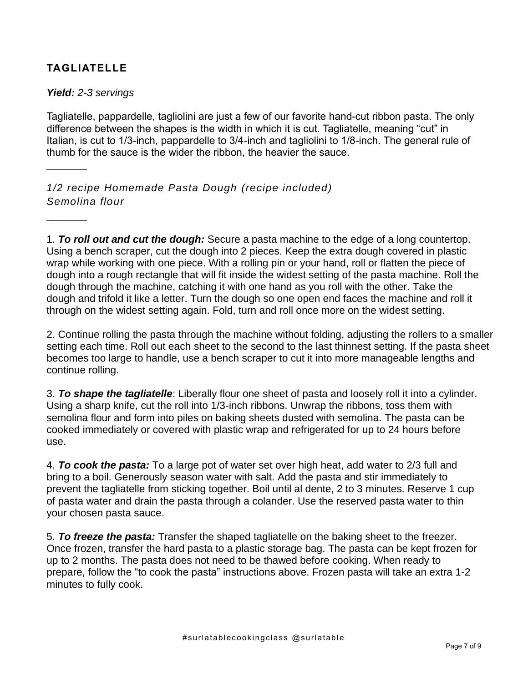### **TAGLIATELLE**

#### *Yield: 2-3 servings*

 $\frac{1}{2}$ 

 $\frac{1}{2}$ 

Tagliatelle, pappardelle, tagliolini are just a few of our favorite hand-cut ribbon pasta. The only difference between the shapes is the width in which it is cut. Tagliatelle, meaning "cut" in Italian, is cut to 1/3-inch, pappardelle to 3/4-inch and tagliolini to 1/8-inch. The general rule of thumb for the sauce is the wider the ribbon, the heavier the sauce.

*1/2 recipe Homemade Pasta Dough (recipe included) Semolina flour* 

1. *To roll out and cut the dough:* Secure a pasta machine to the edge of a long countertop. Using a bench scraper, cut the dough into 2 pieces. Keep the extra dough covered in plastic wrap while working with one piece. With a rolling pin or your hand, roll or flatten the piece of dough into a rough rectangle that will fit inside the widest setting of the pasta machine. Roll the dough through the machine, catching it with one hand as you roll with the other. Take the dough and trifold it like a letter. Turn the dough so one open end faces the machine and roll it through on the widest setting again. Fold, turn and roll once more on the widest setting.

2. Continue rolling the pasta through the machine without folding, adjusting the rollers to a smaller setting each time. Roll out each sheet to the second to the last thinnest setting. If the pasta sheet becomes too large to handle, use a bench scraper to cut it into more manageable lengths and continue rolling.

3. *To shape the tagliatelle*: Liberally flour one sheet of pasta and loosely roll it into a cylinder. Using a sharp knife, cut the roll into 1/3-inch ribbons. Unwrap the ribbons, toss them with semolina flour and form into piles on baking sheets dusted with semolina. The pasta can be cooked immediately or covered with plastic wrap and refrigerated for up to 24 hours before use.

4. *To cook the pasta:* To a large pot of water set over high heat, add water to 2/3 full and bring to a boil. Generously season water with salt. Add the pasta and stir immediately to prevent the tagliatelle from sticking together. Boil until al dente, 2 to 3 minutes. Reserve 1 cup of pasta water and drain the pasta through a colander. Use the reserved pasta water to thin your chosen pasta sauce.

5. *To freeze the pasta:* Transfer the shaped tagliatelle on the baking sheet to the freezer. Once frozen, transfer the hard pasta to a plastic storage bag. The pasta can be kept frozen for up to 2 months. The pasta does not need to be thawed before cooking. When ready to prepare, follow the "to cook the pasta" instructions above. Frozen pasta will take an extra 1-2 minutes to fully cook.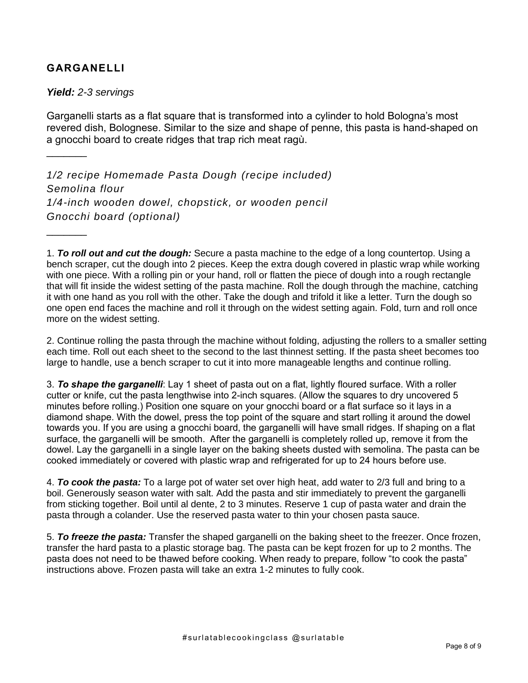#### **GARGANELLI**

*Yield: 2-3 servings*

 $\frac{1}{2}$ 

 $\frac{1}{2}$ 

Garganelli starts as a flat square that is transformed into a cylinder to hold Bologna's most revered dish, Bolognese. Similar to the size and shape of penne, this pasta is hand-shaped on a gnocchi board to create ridges that trap rich meat ragù.

*1/2 recipe Homemade Pasta Dough (recipe included) Semolina flour 1/4-inch wooden dowel, chopstick, or wooden pencil Gnocchi board (optional)*

1. *To roll out and cut the dough:* Secure a pasta machine to the edge of a long countertop. Using a bench scraper, cut the dough into 2 pieces. Keep the extra dough covered in plastic wrap while working with one piece. With a rolling pin or your hand, roll or flatten the piece of dough into a rough rectangle that will fit inside the widest setting of the pasta machine. Roll the dough through the machine, catching it with one hand as you roll with the other. Take the dough and trifold it like a letter. Turn the dough so one open end faces the machine and roll it through on the widest setting again. Fold, turn and roll once more on the widest setting.

2. Continue rolling the pasta through the machine without folding, adjusting the rollers to a smaller setting each time. Roll out each sheet to the second to the last thinnest setting. If the pasta sheet becomes too large to handle, use a bench scraper to cut it into more manageable lengths and continue rolling.

3. *To shape the garganelli*: Lay 1 sheet of pasta out on a flat, lightly floured surface. With a roller cutter or knife, cut the pasta lengthwise into 2-inch squares. (Allow the squares to dry uncovered 5 minutes before rolling.) Position one square on your gnocchi board or a flat surface so it lays in a diamond shape. With the dowel, press the top point of the square and start rolling it around the dowel towards you. If you are using a gnocchi board, the garganelli will have small ridges. If shaping on a flat surface, the garganelli will be smooth. After the garganelli is completely rolled up, remove it from the dowel. Lay the garganelli in a single layer on the baking sheets dusted with semolina. The pasta can be cooked immediately or covered with plastic wrap and refrigerated for up to 24 hours before use.

4. *To cook the pasta:* To a large pot of water set over high heat, add water to 2/3 full and bring to a boil. Generously season water with salt. Add the pasta and stir immediately to prevent the garganelli from sticking together. Boil until al dente, 2 to 3 minutes. Reserve 1 cup of pasta water and drain the pasta through a colander. Use the reserved pasta water to thin your chosen pasta sauce.

5. *To freeze the pasta:* Transfer the shaped garganelli on the baking sheet to the freezer. Once frozen, transfer the hard pasta to a plastic storage bag. The pasta can be kept frozen for up to 2 months. The pasta does not need to be thawed before cooking. When ready to prepare, follow "to cook the pasta" instructions above. Frozen pasta will take an extra 1-2 minutes to fully cook.